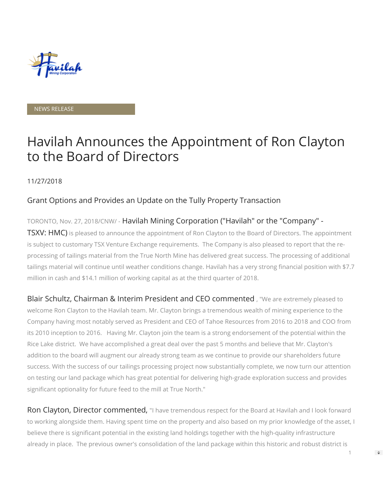

#### NEWS RELEASE

# Havilah Announces the Appointment of Ron Clayton to the Board of Directors

#### 11/27/2018

### Grant Options and Provides an Update on the Tully Property Transaction

TORONTO, Nov. 27, 2018/CNW/ - Havilah Mining Corporation ("Havilah" or the "Company" - **TSXV: HMC)** is pleased to announce the appointment of Ron Clayton to the Board of Directors. The appointment is subject to customary TSX Venture Exchange requirements. The Company is also pleased to report that the reprocessing of tailings material from the True North Mine has delivered great success. The processing of additional tailings material will continue until weather conditions change. Havilah has a very strong financial position with \$7.7 million in cash and \$14.1 million of working capital as at the third quarter of 2018.

Blair Schultz, Chairman & Interim President and CEO commented, "We are extremely pleased to welcome Ron Clayton to the Havilah team. Mr. Clayton brings a tremendous wealth of mining experience to the Company having most notably served as President and CEO of Tahoe Resources from 2016 to 2018 and COO from its 2010 inception to 2016. Having Mr. Clayton join the team is a strong endorsement of the potential within the Rice Lake district. We have accomplished a great deal over the past 5 months and believe that Mr. Clayton's addition to the board will augment our already strong team as we continue to provide our shareholders future success. With the success of our tailings processing project now substantially complete, we now turn our attention on testing our land package which has great potential for delivering high-grade exploration success and provides significant optionality for future feed to the mill at True North."

Ron Clayton, Director commented, "I have tremendous respect for the Board at Havilah and I look forward to working alongside them. Having spent time on the property and also based on my prior knowledge of the asset, I believe there is significant potential in the existing land holdings together with the high-quality infrastructure already in place. The previous owner's consolidation of the land package within this historic and robust district is

1

 $\Rightarrow$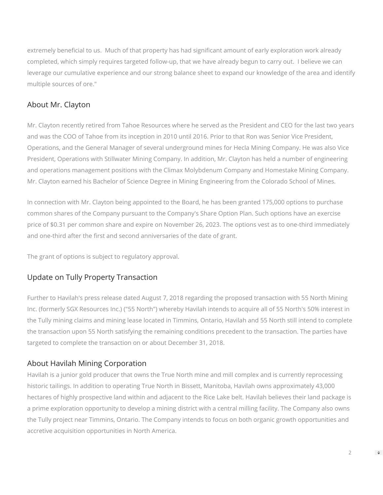extremely beneficial to us. Much of that property has had significant amount of early exploration work already completed, which simply requires targeted follow-up, that we have already begun to carry out. I believe we can leverage our cumulative experience and our strong balance sheet to expand our knowledge of the area and identify multiple sources of ore."

## About Mr. Clayton

Mr. Clayton recently retired from Tahoe Resources where he served as the President and CEO for the last two years and was the COO of Tahoe from its inception in 2010 until 2016. Prior to that Ron was Senior Vice President, Operations, and the General Manager of several underground mines for Hecla Mining Company. He was also Vice President, Operations with Stillwater Mining Company. In addition, Mr. Clayton has held a number of engineering and operations management positions with the Climax Molybdenum Company and Homestake Mining Company. Mr. Clayton earned his Bachelor of Science Degree in Mining Engineering from the Colorado School of Mines.

In connection with Mr. Clayton being appointed to the Board, he has been granted 175,000 options to purchase common shares of the Company pursuant to the Company's Share Option Plan. Such options have an exercise price of \$0.31 per common share and expire on November 26, 2023. The options vest as to one-third immediately and one-third after the first and second anniversaries of the date of grant.

The grant of options is subject to regulatory approval.

## Update on Tully Property Transaction

Further to Havilah's press release dated August 7, 2018 regarding the proposed transaction with 55 North Mining Inc. (formerly SGX Resources Inc.) ("55 North") whereby Havilah intends to acquire all of 55 North's 50% interest in the Tully mining claims and mining lease located in Timmins, Ontario, Havilah and 55 North still intend to complete the transaction upon 55 North satisfying the remaining conditions precedent to the transaction. The parties have targeted to complete the transaction on or about December 31, 2018.

### About Havilah Mining Corporation

Havilah is a junior gold producer that owns the True North mine and mill complex and is currently reprocessing historic tailings. In addition to operating True North in Bissett, Manitoba, Havilah owns approximately 43,000 hectares of highly prospective land within and adjacent to the Rice Lake belt. Havilah believes their land package is a prime exploration opportunity to develop a mining district with a central milling facility. The Company also owns the Tully project near Timmins, Ontario. The Company intends to focus on both organic growth opportunities and accretive acquisition opportunities in North America.

 $\Rightarrow$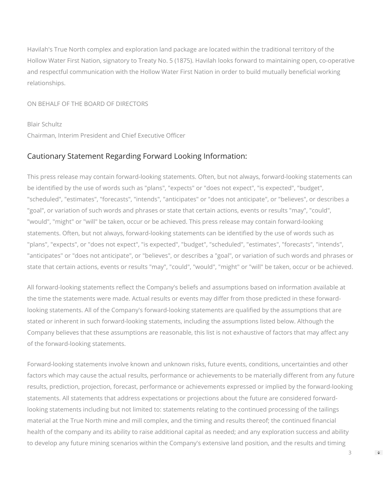Havilah's True North complex and exploration land package are located within the traditional territory of the Hollow Water First Nation, signatory to Treaty No. 5 (1875). Havilah looks forward to maintaining open, co-operative and respectful communication with the Hollow Water First Nation in order to build mutually beneficial working relationships.

ON BEHALF OF THE BOARD OF DIRECTORS

Blair Schultz Chairman, Interim President and Chief Executive Officer

# Cautionary Statement Regarding Forward Looking Information:

This press release may contain forward-looking statements. Often, but not always, forward-looking statements can be identified by the use of words such as "plans", "expects" or "does not expect", "is expected", "budget", "scheduled", "estimates", "forecasts", "intends", "anticipates" or "does not anticipate", or "believes", or describes a "goal", or variation of such words and phrases or state that certain actions, events or results "may", "could", "would", "might" or "will" be taken, occur or be achieved. This press release may contain forward-looking statements. Often, but not always, forward-looking statements can be identified by the use of words such as "plans", "expects", or "does not expect", "is expected", "budget", "scheduled", "estimates", "forecasts", "intends", "anticipates" or "does not anticipate", or "believes", or describes a "goal", or variation of such words and phrases or state that certain actions, events or results "may", "could", "would", "might" or "will" be taken, occur or be achieved.

All forward-looking statements reflect the Company's beliefs and assumptions based on information available at the time the statements were made. Actual results or events may differ from those predicted in these forwardlooking statements. All of the Company's forward-looking statements are qualified by the assumptions that are stated or inherent in such forward-looking statements, including the assumptions listed below. Although the Company believes that these assumptions are reasonable, this list is not exhaustive of factors that may affect any of the forward-looking statements.

Forward-looking statements involve known and unknown risks, future events, conditions, uncertainties and other factors which may cause the actual results, performance or achievements to be materially different from any future results, prediction, projection, forecast, performance or achievements expressed or implied by the forward-looking statements. All statements that address expectations or projections about the future are considered forwardlooking statements including but not limited to: statements relating to the continued processing of the tailings material at the True North mine and mill complex, and the timing and results thereof; the continued financial health of the company and its ability to raise additional capital as needed; and any exploration success and ability to develop any future mining scenarios within the Company's extensive land position, and the results and timing

 $\Rightarrow$ 

3